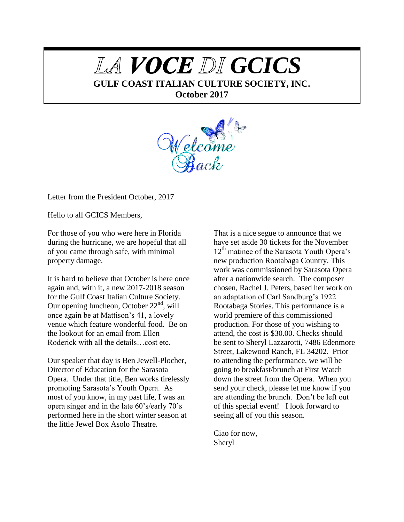# LA VOCE DI GCICS

**GULF COAST ITALIAN CULTURE SOCIETY, INC.**

**October 2017**



Letter from the President October, 2017

Hello to all GCICS Members,

For those of you who were here in Florida during the hurricane, we are hopeful that all of you came through safe, with minimal property damage.

It is hard to believe that October is here once again and, with it, a new 2017-2018 season for the Gulf Coast Italian Culture Society. Our opening luncheon, October  $22<sup>nd</sup>$ , will once again be at Mattison's 41, a lovely venue which feature wonderful food. Be on the lookout for an email from Ellen Roderick with all the details…cost etc.

Our speaker that day is Ben Jewell-Plocher, Director of Education for the Sarasota Opera. Under that title, Ben works tirelessly promoting Sarasota's Youth Opera. As most of you know, in my past life, I was an opera singer and in the late 60's/early 70's performed here in the short winter season at the little Jewel Box Asolo Theatre.

That is a nice segue to announce that we have set aside 30 tickets for the November  $12<sup>th</sup>$  matinee of the Sarasota Youth Opera's new production Rootabaga Country. This work was commissioned by Sarasota Opera after a nationwide search. The composer chosen, Rachel J. Peters, based her work on an adaptation of Carl Sandburg's 1922 Rootabaga Stories. This performance is a world premiere of this commissioned production. For those of you wishing to attend, the cost is \$30.00. Checks should be sent to Sheryl Lazzarotti, 7486 Edenmore Street, Lakewood Ranch, FL 34202. Prior to attending the performance, we will be going to breakfast/brunch at First Watch down the street from the Opera. When you send your check, please let me know if you are attending the brunch. Don't be left out of this special event! I look forward to seeing all of you this season.

Ciao for now, Sheryl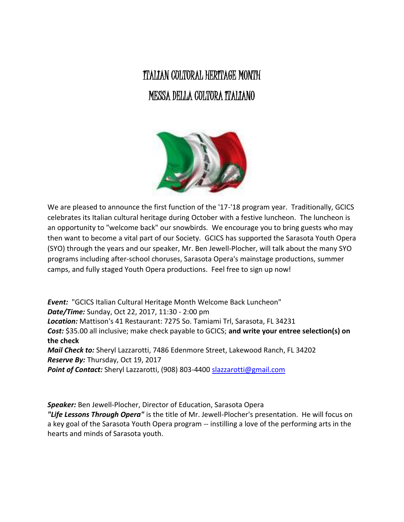## ITALIAN CULTURAL HERITAGE MONTH MESSA DELLA COLTORA ITALIANO



We are pleased to announce the first function of the '17-'18 program year. Traditionally, GCICS celebrates its Italian cultural heritage during October with a festive luncheon. The luncheon is an opportunity to "welcome back" our snowbirds. We encourage you to bring guests who may then want to become a vital part of our Society. GCICS has supported the Sarasota Youth Opera (SYO) through the years and our speaker, Mr. Ben Jewell-Plocher, will talk about the many SYO programs including after-school choruses, Sarasota Opera's mainstage productions, summer camps, and fully staged Youth Opera productions. Feel free to sign up now!

*Event:* "GCICS Italian Cultural Heritage Month Welcome Back Luncheon" *Date/Time:* Sunday, Oct 22, 2017, 11:30 - 2:00 pm *Location:* Mattison's 41 Restaurant: 7275 So. Tamiami Trl, Sarasota, FL 34231 *Cost:* \$35.00 all inclusive; make check payable to GCICS; **and write your entree selection(s) on the check** *Mail Check to:* Sheryl Lazzarotti, 7486 Edenmore Street, Lakewood Ranch, FL 34202 *Reserve By:* Thursday, Oct 19, 2017 Point of Contact: Sheryl Lazzarotti, (908) 803-4400 [slazzarotti@gmail.com](mailto:slazzarotti@gmail.com)

*Speaker:* Ben Jewell-Plocher, Director of Education, Sarasota Opera

*"Life Lessons Through Opera"* is the title of Mr. Jewell-Plocher's presentation. He will focus on a key goal of the Sarasota Youth Opera program -- instilling a love of the performing arts in the hearts and minds of Sarasota youth.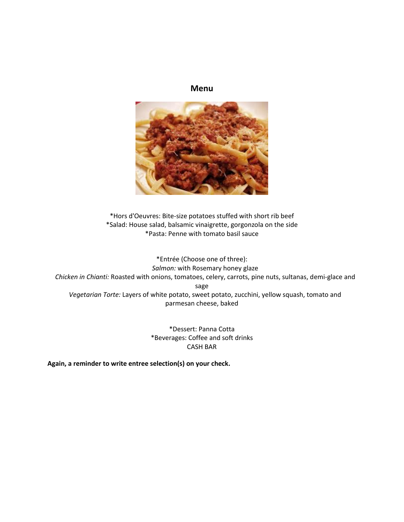### **Menu**



\*Hors d'Oeuvres: Bite-size potatoes stuffed with short rib beef \*Salad: House salad, balsamic vinaigrette, gorgonzola on the side \*Pasta: Penne with tomato basil sauce

\*Entrée (Choose one of three): *Salmon:* with Rosemary honey glaze *Chicken in Chianti:* Roasted with onions, tomatoes, celery, carrots, pine nuts, sultanas, demi-glace and sage *Vegetarian Torte:* Layers of white potato, sweet potato, zucchini, yellow squash, tomato and parmesan cheese, baked

> \*Dessert: Panna Cotta \*Beverages: Coffee and soft drinks CASH BAR

**Again, a reminder to write entree selection(s) on your check.**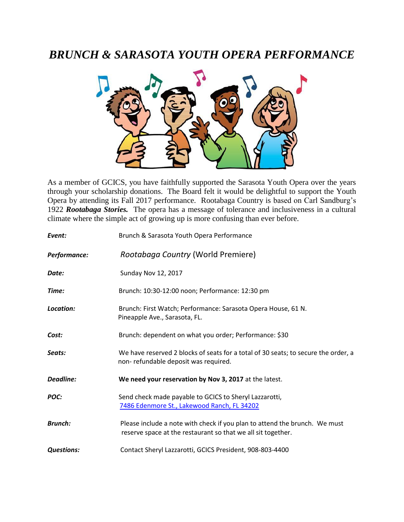### *BRUNCH & SARASOTA YOUTH OPERA PERFORMANCE*



As a member of GCICS, you have faithfully supported the Sarasota Youth Opera over the years through your scholarship donations. The Board felt it would be delightful to support the Youth Opera by attending its Fall 2017 performance. Rootabaga Country is based on Carl Sandburg's 1922 *Rootabaga Stories.* The opera has a message of tolerance and inclusiveness in a cultural climate where the simple act of growing up is more confusing than ever before.

| Event:            | Brunch & Sarasota Youth Opera Performance                                                                                                  |
|-------------------|--------------------------------------------------------------------------------------------------------------------------------------------|
| Performance:      | Rootabaga Country (World Premiere)                                                                                                         |
| Date:             | <b>Sunday Nov 12, 2017</b>                                                                                                                 |
| Time:             | Brunch: 10:30-12:00 noon; Performance: 12:30 pm                                                                                            |
| Location:         | Brunch: First Watch; Performance: Sarasota Opera House, 61 N.<br>Pineapple Ave., Sarasota, FL.                                             |
| Cost:             | Brunch: dependent on what you order; Performance: \$30                                                                                     |
| Seats:            | We have reserved 2 blocks of seats for a total of 30 seats; to secure the order, a<br>non-refundable deposit was required.                 |
| <b>Deadline:</b>  | We need your reservation by Nov 3, 2017 at the latest.                                                                                     |
| POC:              | Send check made payable to GCICS to Sheryl Lazzarotti,<br>7486 Edenmore St., Lakewood Ranch, FL 34202                                      |
| <b>Brunch:</b>    | Please include a note with check if you plan to attend the brunch. We must<br>reserve space at the restaurant so that we all sit together. |
| <b>Questions:</b> | Contact Sheryl Lazzarotti, GCICS President, 908-803-4400                                                                                   |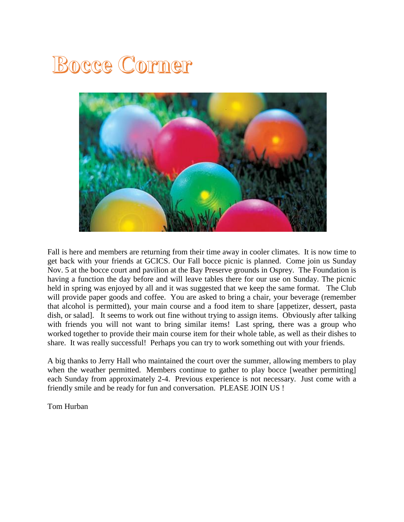## **Bocce Corner**



Fall is here and members are returning from their time away in cooler climates. It is now time to get back with your friends at GCICS. Our Fall bocce picnic is planned. Come join us Sunday Nov. 5 at the bocce court and pavilion at the Bay Preserve grounds in Osprey. The Foundation is having a function the day before and will leave tables there for our use on Sunday. The picnic held in spring was enjoyed by all and it was suggested that we keep the same format. The Club will provide paper goods and coffee. You are asked to bring a chair, your beverage (remember that alcohol is permitted), your main course and a food item to share [appetizer, dessert, pasta dish, or salad]. It seems to work out fine without trying to assign items. Obviously after talking with friends you will not want to bring similar items! Last spring, there was a group who worked together to provide their main course item for their whole table, as well as their dishes to share. It was really successful! Perhaps you can try to work something out with your friends.

A big thanks to Jerry Hall who maintained the court over the summer, allowing members to play when the weather permitted. Members continue to gather to play bocce [weather permitting] each Sunday from approximately 2-4. Previous experience is not necessary. Just come with a friendly smile and be ready for fun and conversation. PLEASE JOIN US !

Tom Hurban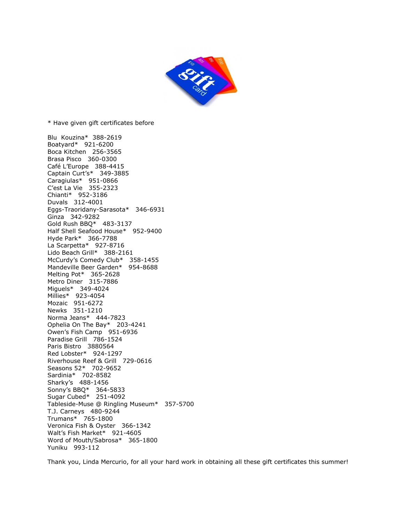

\* Have given gift certificates before

Blu Kouzina\* 388-2619 Boatyard\* 921-6200 Boca Kitchen 256-3565 Brasa Pisco 360-0300 Café L'Europe 388-4415 Captain Curt's\* 349-3885 Caragiulas\* 951-0866 C'est La Vie 355-2323 Chianti\* 952-3186 Duvals 312-4001 Eggs-Traoridany-Sarasota\* 346-6931 Ginza 342-9282 Gold Rush BBQ\* 483-3137 Half Shell Seafood House\* 952-9400 Hyde Park\* 366-7788 La Scarpetta\* 927-8716 Lido Beach Grill\* 388-2161 McCurdy's Comedy Club\* 358-1455 Mandeville Beer Garden\* 954-8688 Melting Pot\* 365-2628 Metro Diner 315-7886 Miguels\* 349-4024 Millies\* 923-4054 Mozaic 951-6272 Newks 351-1210 Norma Jeans\* 444-7823 Ophelia On The Bay\* 203-4241 Owen's Fish Camp 951-6936 Paradise Grill 786-1524 Paris Bistro 3880564 Red Lobster\* 924-1297 Riverhouse Reef & Grill 729-0616 Seasons 52\* 702-9652 Sardinia\* 702-8582 Sharky's 488-1456 Sonny's BBQ\* 364-5833 Sugar Cubed\* 251-4092 Tableside-Muse @ Ringling Museum\* 357-5700 T.J. Carneys 480-9244 Trumans\* 765-1800 Veronica Fish & Oyster 366-1342 Walt's Fish Market\* 921-4605 Word of Mouth/Sabrosa\* 365-1800 Yuniku 993-112

Thank you, Linda Mercurio, for all your hard work in obtaining all these gift certificates this summer!